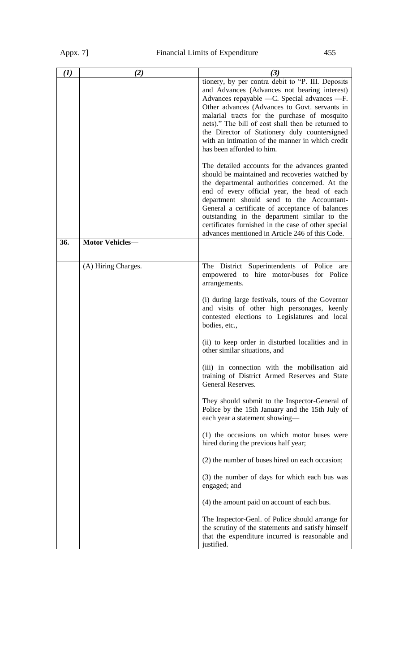| (I) | (2)                    | (3)                                                                                                                                                                                                                                                                                                                                                                                                                                                          |
|-----|------------------------|--------------------------------------------------------------------------------------------------------------------------------------------------------------------------------------------------------------------------------------------------------------------------------------------------------------------------------------------------------------------------------------------------------------------------------------------------------------|
|     |                        | tionery, by per contra debit to "P. III. Deposits<br>and Advances (Advances not bearing interest)<br>Advances repayable - C. Special advances - F.<br>Other advances (Advances to Govt. servants in<br>malarial tracts for the purchase of mosquito<br>nets)." The bill of cost shall then be returned to<br>the Director of Stationery duly countersigned<br>with an intimation of the manner in which credit<br>has been afforded to him.                  |
|     |                        | The detailed accounts for the advances granted<br>should be maintained and recoveries watched by<br>the departmental authorities concerned. At the<br>end of every official year, the head of each<br>department should send to the Accountant-<br>General a certificate of acceptance of balances<br>outstanding in the department similar to the<br>certificates furnished in the case of other special<br>advances mentioned in Article 246 of this Code. |
| 36. | <b>Motor Vehicles-</b> |                                                                                                                                                                                                                                                                                                                                                                                                                                                              |
|     | (A) Hiring Charges.    | The District Superintendents of Police are<br>empowered to hire motor-buses for Police<br>arrangements.                                                                                                                                                                                                                                                                                                                                                      |
|     |                        | (i) during large festivals, tours of the Governor<br>and visits of other high personages, keenly<br>contested elections to Legislatures and local<br>bodies, etc.,                                                                                                                                                                                                                                                                                           |
|     |                        | (ii) to keep order in disturbed localities and in<br>other similar situations, and                                                                                                                                                                                                                                                                                                                                                                           |
|     |                        | (iii) in connection with the mobilisation aid<br>training of District Armed Reserves and State<br>General Reserves.                                                                                                                                                                                                                                                                                                                                          |
|     |                        | They should submit to the Inspector-General of<br>Police by the 15th January and the 15th July of<br>each year a statement showing-                                                                                                                                                                                                                                                                                                                          |
|     |                        | (1) the occasions on which motor buses were<br>hired during the previous half year;                                                                                                                                                                                                                                                                                                                                                                          |
|     |                        | (2) the number of buses hired on each occasion;                                                                                                                                                                                                                                                                                                                                                                                                              |
|     |                        | (3) the number of days for which each bus was<br>engaged; and                                                                                                                                                                                                                                                                                                                                                                                                |
|     |                        | (4) the amount paid on account of each bus.                                                                                                                                                                                                                                                                                                                                                                                                                  |
|     |                        | The Inspector-Genl. of Police should arrange for<br>the scrutiny of the statements and satisfy himself<br>that the expenditure incurred is reasonable and<br>justified.                                                                                                                                                                                                                                                                                      |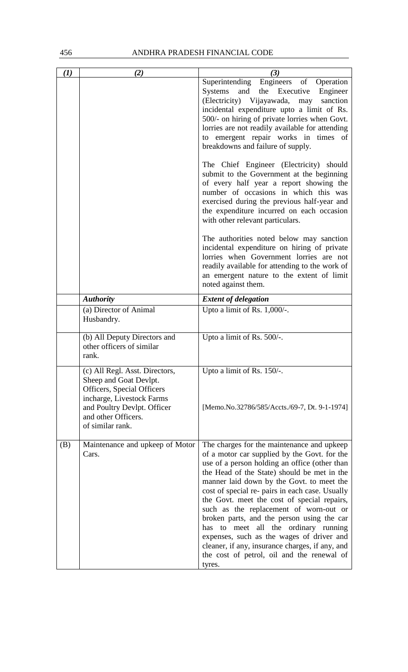## 456 ANDHRA PRADESH FINANCIAL CODE

| (1) | (2)                                                                                                                                                                                           | (3)                                                                                                                                                                                                                                                                                                                                                                                                                                                                                                                                                                                                                                  |
|-----|-----------------------------------------------------------------------------------------------------------------------------------------------------------------------------------------------|--------------------------------------------------------------------------------------------------------------------------------------------------------------------------------------------------------------------------------------------------------------------------------------------------------------------------------------------------------------------------------------------------------------------------------------------------------------------------------------------------------------------------------------------------------------------------------------------------------------------------------------|
|     |                                                                                                                                                                                               | Superintending Engineers of Operation<br>and<br>the Executive Engineer<br>Systems<br>(Electricity) Vijayawada,<br>sanction<br>may<br>incidental expenditure upto a limit of Rs.<br>500/- on hiring of private lorries when Govt.<br>lorries are not readily available for attending<br>to emergent repair works in times of<br>breakdowns and failure of supply.                                                                                                                                                                                                                                                                     |
|     |                                                                                                                                                                                               | The Chief Engineer (Electricity) should<br>submit to the Government at the beginning<br>of every half year a report showing the<br>number of occasions in which this was<br>exercised during the previous half-year and<br>the expenditure incurred on each occasion<br>with other relevant particulars.                                                                                                                                                                                                                                                                                                                             |
|     |                                                                                                                                                                                               | The authorities noted below may sanction<br>incidental expenditure on hiring of private<br>lorries when Government lorries are not<br>readily available for attending to the work of<br>an emergent nature to the extent of limit<br>noted against them.                                                                                                                                                                                                                                                                                                                                                                             |
|     | <b>Authority</b>                                                                                                                                                                              | <b>Extent of delegation</b>                                                                                                                                                                                                                                                                                                                                                                                                                                                                                                                                                                                                          |
|     | (a) Director of Animal<br>Husbandry.                                                                                                                                                          | Upto a limit of Rs. 1,000/-.                                                                                                                                                                                                                                                                                                                                                                                                                                                                                                                                                                                                         |
|     | (b) All Deputy Directors and<br>other officers of similar<br>rank.                                                                                                                            | Upto a limit of Rs. 500/-.                                                                                                                                                                                                                                                                                                                                                                                                                                                                                                                                                                                                           |
|     | (c) All Regl. Asst. Directors,<br>Sheep and Goat Devlpt.<br>Officers, Special Officers<br>incharge, Livestock Farms<br>and Poultry Devlpt. Officer<br>and other Officers.<br>of similar rank. | Upto a limit of Rs. $150/-$ .<br>[Memo.No.32786/585/Accts./69-7, Dt. 9-1-1974]                                                                                                                                                                                                                                                                                                                                                                                                                                                                                                                                                       |
| (B) | Maintenance and upkeep of Motor<br>Cars.                                                                                                                                                      | The charges for the maintenance and upkeep<br>of a motor car supplied by the Govt. for the<br>use of a person holding an office (other than<br>the Head of the State) should be met in the<br>manner laid down by the Govt. to meet the<br>cost of special re- pairs in each case. Usually<br>the Govt. meet the cost of special repairs,<br>such as the replacement of worn-out or<br>broken parts, and the person using the car<br>to meet all the ordinary running<br>has<br>expenses, such as the wages of driver and<br>cleaner, if any, insurance charges, if any, and<br>the cost of petrol, oil and the renewal of<br>tyres. |